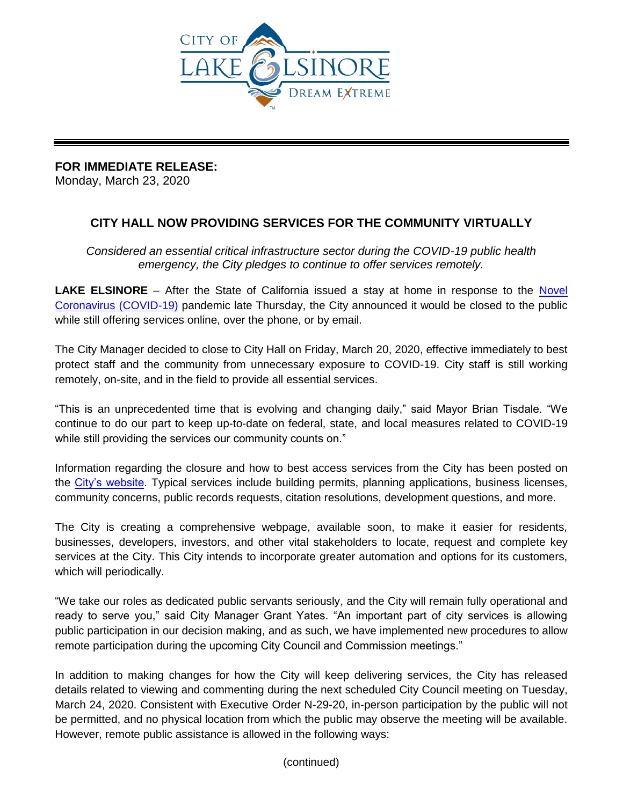

## **FOR IMMEDIATE RELEASE:**

Monday, March 23, 2020

## **CITY HALL NOW PROVIDING SERVICES FOR THE COMMUNITY VIRTUALLY**

*Considered an essential critical infrastructure sector during the COVID-19 public health emergency, the City pledges to continue to offer services remotely.* 

**LAKE ELSINORE** – After the State of California issued a stay at home in response to the Novel [Coronavirus \(COVID-19\)](https://www.rivcoph.org/coronavirus) pandemic late Thursday, the City announced it would be closed to the public while still offering services online, over the phone, or by email.

The City Manager decided to close to City Hall on Friday, March 20, 2020, effective immediately to best protect staff and the community from unnecessary exposure to COVID-19. City staff is still working remotely, on-site, and in the field to provide all essential services.

"This is an unprecedented time that is evolving and changing daily," said Mayor Brian Tisdale. "We continue to do our part to keep up-to-date on federal, state, and local measures related to COVID-19 while still providing the services our community counts on."

Information regarding the closure and how to best access services from the City has been posted on the [City's website.](http://www.lake-elsinore.org/) Typical services include building permits, planning applications, business licenses, community concerns, public records requests, citation resolutions, development questions, and more.

The City is creating a comprehensive webpage, available soon, to make it easier for residents, businesses, developers, investors, and other vital stakeholders to locate, request and complete key services at the City. This City intends to incorporate greater automation and options for its customers, which will periodically.

"We take our roles as dedicated public servants seriously, and the City will remain fully operational and ready to serve you," said City Manager Grant Yates. "An important part of city services is allowing public participation in our decision making, and as such, we have implemented new procedures to allow remote participation during the upcoming City Council and Commission meetings."

In addition to making changes for how the City will keep delivering services, the City has released details related to viewing and commenting during the next scheduled City Council meeting on Tuesday, March 24, 2020. Consistent with Executive Order N-29-20, in-person participation by the public will not be permitted, and no physical location from which the public may observe the meeting will be available. However, remote public assistance is allowed in the following ways:

(continued)